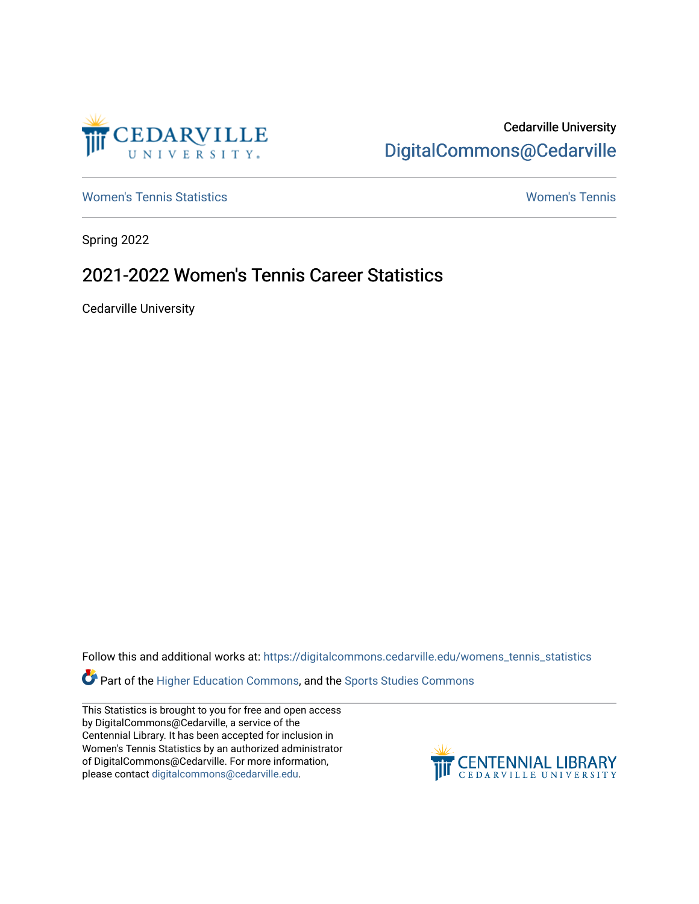

# Cedarville University [DigitalCommons@Cedarville](https://digitalcommons.cedarville.edu/)

[Women's Tennis Statistics](https://digitalcommons.cedarville.edu/womens_tennis_statistics) [Women's Tennis](https://digitalcommons.cedarville.edu/womens_tennis) 

Spring 2022

# 2021-2022 Women's Tennis Career Statistics

Cedarville University

Follow this and additional works at: [https://digitalcommons.cedarville.edu/womens\\_tennis\\_statistics](https://digitalcommons.cedarville.edu/womens_tennis_statistics?utm_source=digitalcommons.cedarville.edu%2Fwomens_tennis_statistics%2F339&utm_medium=PDF&utm_campaign=PDFCoverPages) 

Part of the [Higher Education Commons,](https://network.bepress.com/hgg/discipline/1245?utm_source=digitalcommons.cedarville.edu%2Fwomens_tennis_statistics%2F339&utm_medium=PDF&utm_campaign=PDFCoverPages) and the Sports Studies Commons

This Statistics is brought to you for free and open access by DigitalCommons@Cedarville, a service of the Centennial Library. It has been accepted for inclusion in Women's Tennis Statistics by an authorized administrator of DigitalCommons@Cedarville. For more information, please contact [digitalcommons@cedarville.edu](mailto:digitalcommons@cedarville.edu).

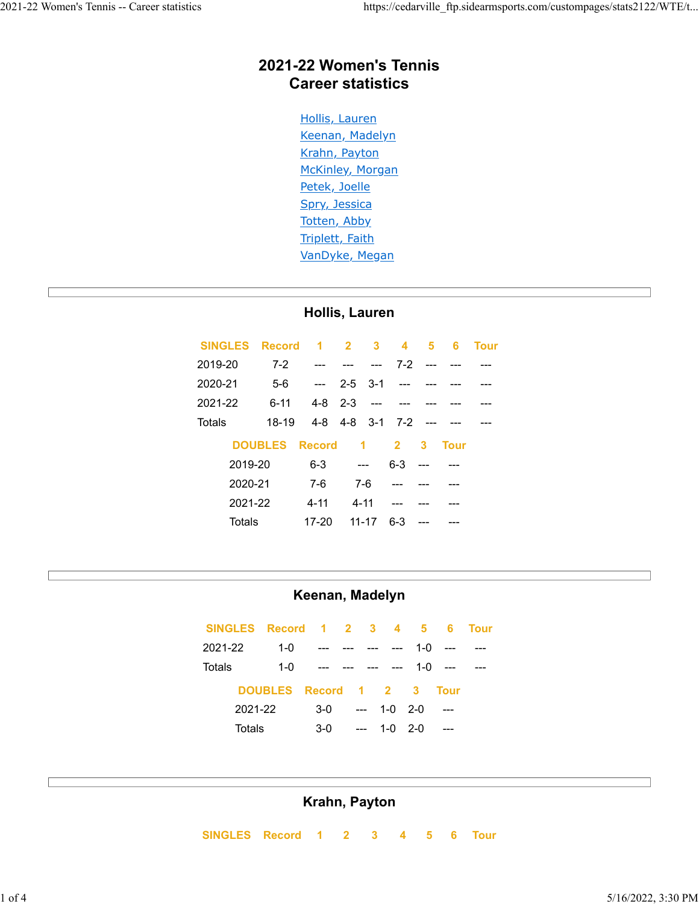## **2021-22 Women's Tennis Career statistics**

Hollis, Lauren Keenan, Madelyn Krahn, Payton McKinley, Morgan Petek, Joelle Spry, Jessica Totten, Abby Triplett, Faith VanDyke, Megan

#### **Hollis, Lauren**

| <b>SINGLES</b> |                |       | Record 1 2 3 4 5 6 |                 |                          |                         |               |             | <b>Tour</b> |
|----------------|----------------|-------|--------------------|-----------------|--------------------------|-------------------------|---------------|-------------|-------------|
| 2019-20        |                | $7-2$ |                    |                 | <b>Service Contracts</b> |                         | $7-2$ --- --- |             |             |
| 2020-21        |                | $5-6$ | $\sim$ $\sim$      | $2-5$ $3-1$ --- |                          |                         |               |             |             |
| 2021-22        |                | 6-11  | $4-8$ $2-3$ ---    |                 |                          |                         |               |             |             |
| Totals         |                | 18-19 |                    |                 |                          | 4-8 4-8 3-1 7-2 --- --- |               |             |             |
|                | <b>DOUBLES</b> |       | <b>Record</b>      |                 |                          | $1 \quad 2$             | 3             | <b>Tour</b> |             |
|                | 2019-20        |       | $6 - 3$            | $-$             |                          | $6 - 3$                 |               |             |             |
|                | 2020-21        |       | 7-6                | 7-6             |                          |                         |               |             |             |
|                | 2021-22        |       | $4 - 11$           | $4 - 11$        |                          | $---$                   |               |             |             |
|                | Totals         |       | 17-20              |                 | $11 - 17$                | $6 - 3$                 |               |             |             |

#### **Keenan, Madelyn**

|         |         | SINGLES Record 1 2 3 4 5 6 |                               |     |                 |           | <b>Tour</b> |
|---------|---------|----------------------------|-------------------------------|-----|-----------------|-----------|-------------|
| 2021-22 |         | $1 - 0$                    | <b>Service</b>                |     | $- - -$         | $1-0$ --- |             |
| Totals  |         |                            | $1-0$ --- --- --- --- 1-0 --- |     |                 |           |             |
|         |         | DOUBLES Record 1 2 3 Tour  |                               |     |                 |           |             |
|         | 2021-22 |                            | $3-0$                         |     | $- - 1 - 0$ 2-0 | ----      |             |
|         | Totals  |                            | $3-0$                         | $-$ | $1 - 0$ 2-0     | $---$     |             |

#### **Krahn, Payton**

 **SINGLES Record 1 2 3 4 5 6 Tour**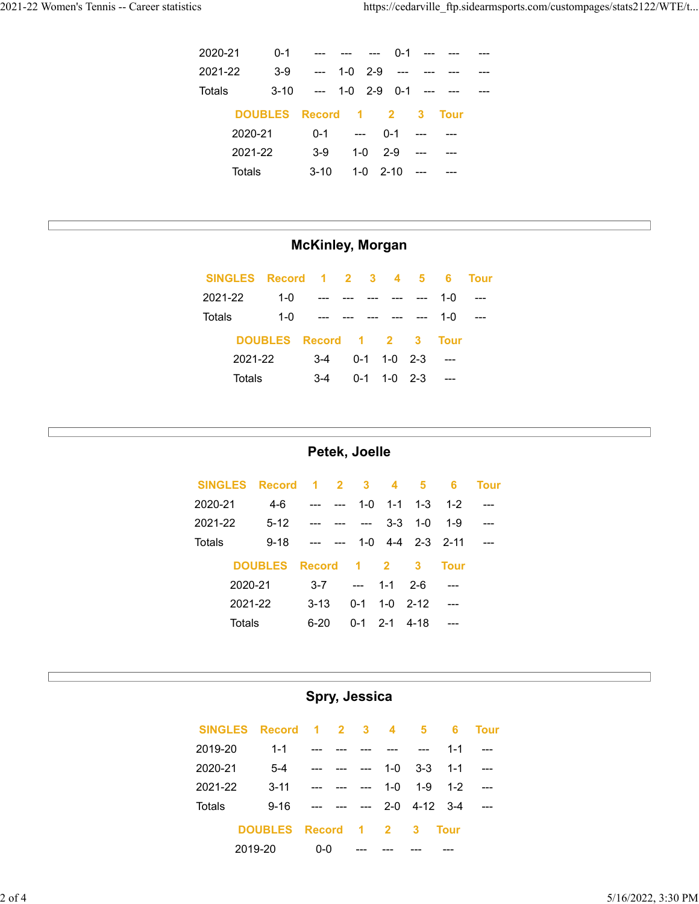| 2020-21 |         | $0 - 1$ | --- --- --- 0-1 ---            |              |                     |               |        |  |
|---------|---------|---------|--------------------------------|--------------|---------------------|---------------|--------|--|
| 2021-22 |         | $3-9$   | --- 1-0 2-9 --- ---            |              |                     |               |        |  |
| Totals  |         |         | $3-10$ --- 1-0 2-9 0-1 --- --- |              |                     |               |        |  |
|         |         |         | DOUBLES Record 1 2 3 Tour      |              |                     |               |        |  |
|         | 2020-21 |         |                                |              | $0-1$ --- $0-1$ --- |               | $---$  |  |
|         | 2021-22 |         | $3-9$                          | $1 - 0$ 2-9  |                     | $\sim$ $\sim$ | $\sim$ |  |
|         | Totals  |         | $3-10$                         | $1 - 0$ 2-10 |                     |               |        |  |

### **McKinley, Morgan**

| SINGLES Record 1 2 3 4 5 |                      |       |     |               |       | -6   | Tour |
|--------------------------|----------------------|-------|-----|---------------|-------|------|------|
| 2021-22                  | 1- $\Omega$          |       |     |               |       | 1-0  |      |
| Totals                   | $1 - 0$              |       |     |               | $---$ | 1-0  |      |
|                          | DOUBLES Record 1 2 3 |       |     |               |       | Tour |      |
| 2021-22                  |                      | $3-4$ |     | $0-1$ 1-0 2-3 |       |      |      |
| Totals                   |                      | $3-4$ | 0-1 | $1 - 0$ 2-3   |       |      |      |

#### **Petek, Joelle**

|         |         | SINGLES Record 1 2 3 4 5 |            |                                   |                  |                |                                  | 6           | Tour |
|---------|---------|--------------------------|------------|-----------------------------------|------------------|----------------|----------------------------------|-------------|------|
| 2020-21 |         | 4-6                      |            | <b>Contract Contract Contract</b> |                  |                | $1 - 0$ $1 - 1$ $1 - 3$ $1 - 2$  |             |      |
| 2021-22 |         | $5-12$ --- ---           |            |                                   | $\sim$ 100 $\pm$ | $3 - 3$        | $1 - 0$                          | $1 - 9$     |      |
| Totals  |         | $9 - 18$                 |            | <b>Contract</b>                   |                  |                | $1 - 0$ $4 - 4$ $2 - 3$ $2 - 11$ |             |      |
|         |         | <b>DOUBLES</b>           | Record 1 2 |                                   |                  |                | - 3                              | <b>Tour</b> |      |
|         | 2020-21 |                          | $3 - 7$    |                                   |                  | --- 1-1 2-6    |                                  |             |      |
|         | 2021-22 |                          | $3-13$     |                                   | 0-1              |                | $1 - 0$ 2-12                     |             |      |
|         | Totals  |                          | 6-20       |                                   |                  | $0-1$ 2-1 4-18 |                                  |             |      |

# **Spry, Jessica**

| SINGLES Record 1 2 3 4 5 |                    |           |         |         |                | 6           | Tour    |
|--------------------------|--------------------|-----------|---------|---------|----------------|-------------|---------|
| 2019-20                  | $1 - 1$            | - ---     |         |         |                | $1 - 1$     | $- - -$ |
| 2020-21                  | $5 - 4$            | ___ __ __ |         | $1-0$   | $3 - 3$        | $1 - 1$     |         |
| 2021-22                  | $3 - 11$           |           | $- - -$ | $1 - 0$ | 1-9            | $1 - 2$     |         |
| Totals                   | $9 - 16$           |           | $ -$    |         | $2-0$ 4-12 3-4 |             |         |
|                          | DOUBLES Record 1 2 |           |         |         | $\mathbf{3}$   | <b>Tour</b> |         |
|                          | 2019-20            | 0-0       |         |         |                |             |         |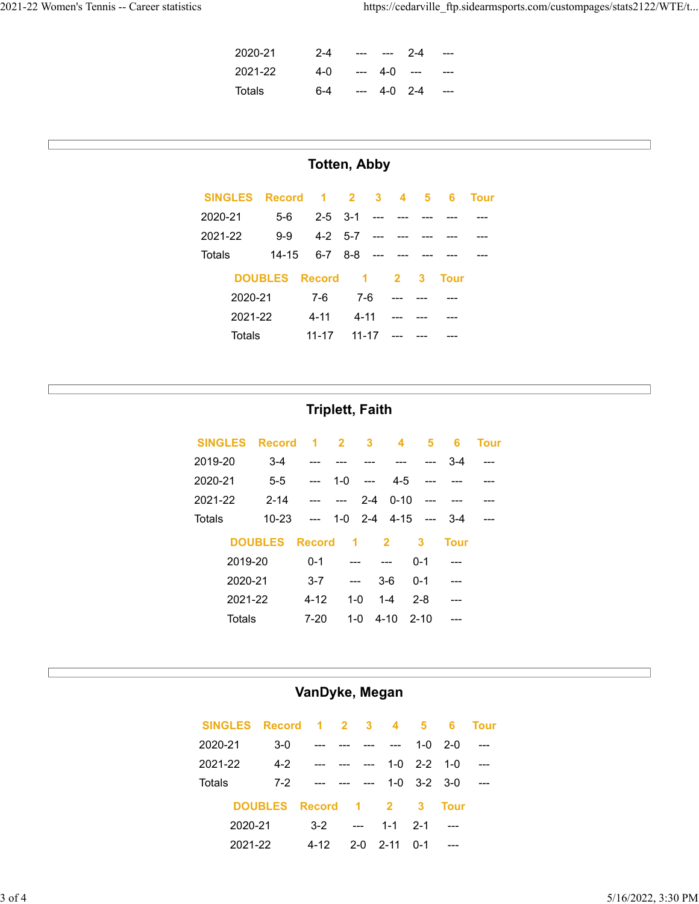| 2020-21 | $2 - 4$ | $\frac{1}{2}$ and $\frac{1}{2}$ | $-2-4$ | $---$ |
|---------|---------|---------------------------------|--------|-------|
| 2021-22 | 4-0     | --- 4-0 ---                     |        | ---   |
| Totals  | 6-4     | --- 4-0 2-4                     |        | ----  |

### **Totten, Abby**

|         | SINGLES Record 1 2 3 4 5 |           |                       |           |  | - 6  | <b>Tour</b> |
|---------|--------------------------|-----------|-----------------------|-----------|--|------|-------------|
| 2020-21 | $5-6$                    |           | 2-5 3-1 --- ---       |           |  |      |             |
| 2021-22 | $9-9$                    |           | $4-2$ 5-7 --- --- --- |           |  |      |             |
| Totals  | $14 - 15$                |           | $6-7$ $8-8$ --- ---   |           |  |      |             |
|         | DOUBLES Record 1 2 3     |           |                       |           |  | Tour |             |
|         | 2020-21                  | 7-6       | 7-6                   |           |  |      |             |
|         | 2021-22                  | 4-11      | 4-11                  |           |  |      |             |
|         | Totals                   | $11 - 17$ |                       | $11 - 17$ |  |      |             |

#### **Triplett, Faith**

| <b>SINGLES</b> | Record 1 2 3 4 |               |                      |                |                          | 5.      | 6           | <b>Tour</b> |
|----------------|----------------|---------------|----------------------|----------------|--------------------------|---------|-------------|-------------|
| 2019-20        | $3 - 4$        |               |                      | <b>Service</b> |                          |         | $3-4$       |             |
| 2020-21        | $5 - 5$        | $---$         |                      |                | $1-0$ --- $4-5$ ---      |         |             |             |
| 2021-22        | $2 - 14$       |               | $-$                  |                | $2-4$ 0-10 ---           |         |             |             |
| Totals         | $10 - 23$      | $---$         |                      |                | $1-0$ 2-4 $4-15$ --- 3-4 |         |             |             |
|                | <b>DOUBLES</b> | <b>Record</b> | $\blacktriangleleft$ |                | $\overline{\mathbf{2}}$  | 3       | <b>Tour</b> |             |
| 2019-20        |                | $0 - 1$       |                      |                | $---$                    | $0 - 1$ |             |             |
| 2020-21        |                | $3 - 7$       | $---$                |                | $3-6$                    | $0 - 1$ |             |             |
| 2021-22        |                | $4 - 12$      |                      | $1 - 0$        | $1 - 4$                  | $2 - 8$ |             |             |
| Totals         |                | $7 - 20$      |                      | $1 - 0$        | $4-10$ $2-10$            |         |             |             |

#### **VanDyke, Megan**

| SINGLES Record 1 2 3 4 5 |                    |       |                      |                                                   |             |                         | - 6         | <b>Tour</b> |
|--------------------------|--------------------|-------|----------------------|---------------------------------------------------|-------------|-------------------------|-------------|-------------|
| 2020-21                  | $3-0$              |       |                      |                                                   |             |                         | $1 - 0$ 2-0 |             |
| 2021-22                  | 4-2                |       |                      |                                                   |             | $1 - 0$ $2 - 2$ $1 - 0$ |             |             |
| Totals                   | $7-2$              |       |                      | $\frac{1}{2}$ and $\frac{1}{2}$ and $\frac{1}{2}$ |             | $1 - 0$ $3 - 2$ $3 - 0$ |             |             |
|                          | DOUBLES Record 1 2 |       |                      |                                                   |             | - 3                     | Tour        |             |
| 2020-21                  |                    | $3-2$ | $\sim$ $\sim$ $\sim$ |                                                   | $1 - 1$ 2-1 |                         |             |             |
| 2021-22                  |                    | 4-12  |                      | $2 - 0$                                           | $2 - 11$    | $0 - 1$                 |             |             |